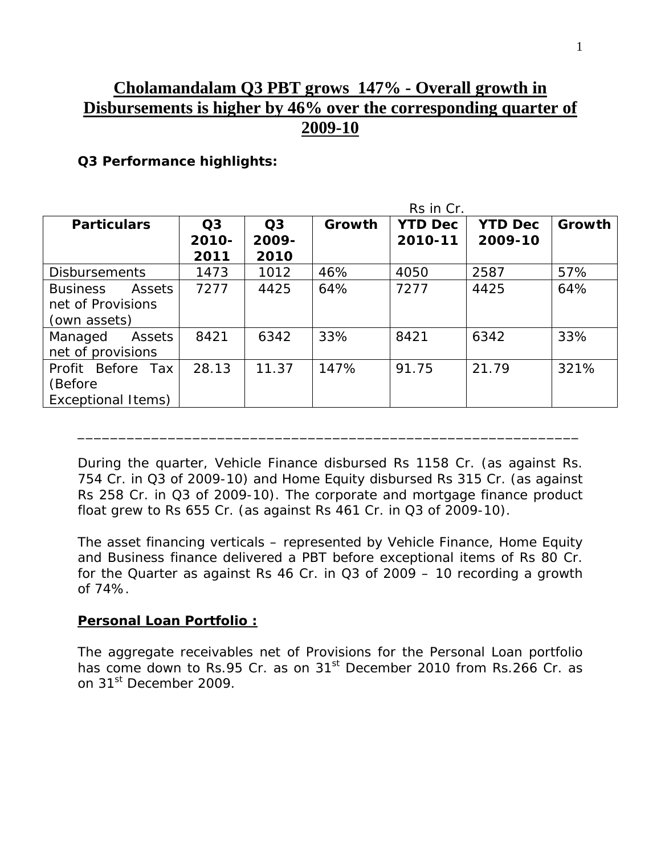# **Cholamandalam Q3 PBT grows 147% - Overall growth in Disbursements is higher by 46% over the corresponding quarter of 2009-10**

#### **Q3 Performance highlights:**

|                           | Rs in Cr.      |                |        |                |                |        |
|---------------------------|----------------|----------------|--------|----------------|----------------|--------|
| <b>Particulars</b>        | Q <sub>3</sub> | Q <sub>3</sub> | Growth | <b>YTD Dec</b> | <b>YTD Dec</b> | Growth |
|                           | $2010 -$       | 2009-          |        | 2010-11        | 2009-10        |        |
|                           | 2011           | 2010           |        |                |                |        |
| <b>Disbursements</b>      | 1473           | 1012           | 46%    | 4050           | 2587           | 57%    |
| Assets<br><b>Business</b> | 7277           | 4425           | 64%    | 7277           | 4425           | 64%    |
| net of Provisions         |                |                |        |                |                |        |
| (own assets)              |                |                |        |                |                |        |
| Managed<br>Assets         | 8421           | 6342           | 33%    | 8421           | 6342           | 33%    |
| net of provisions         |                |                |        |                |                |        |
| Profit Before<br>Tax      | 28.13          | 11.37          | 147%   | 91.75          | 21.79          | 321%   |
| (Before                   |                |                |        |                |                |        |
| Exceptional Items)        |                |                |        |                |                |        |

During the quarter, Vehicle Finance disbursed Rs 1158 Cr. (as against Rs. 754 Cr. in Q3 of 2009-10) and Home Equity disbursed Rs 315 Cr. (as against Rs 258 Cr. in Q3 of 2009-10). The corporate and mortgage finance product float grew to Rs 655 Cr. (as against Rs 461 Cr. in Q3 of 2009-10).

\_\_\_\_\_\_\_\_\_\_\_\_\_\_\_\_\_\_\_\_\_\_\_\_\_\_\_\_\_\_\_\_\_\_\_\_\_\_\_\_\_\_\_\_\_\_\_\_\_\_\_\_\_\_\_\_\_\_\_\_\_

The asset financing verticals – represented by Vehicle Finance, Home Equity and Business finance delivered a PBT before exceptional items of Rs 80 Cr. for the Quarter as against Rs 46 Cr. in Q3 of 2009 – 10 recording a growth of 74%.

#### **Personal Loan Portfolio :**

The aggregate receivables net of Provisions for the Personal Loan portfolio has come down to Rs.95 Cr. as on 31<sup>st</sup> December 2010 from Rs.266 Cr. as on 31<sup>st</sup> December 2009.